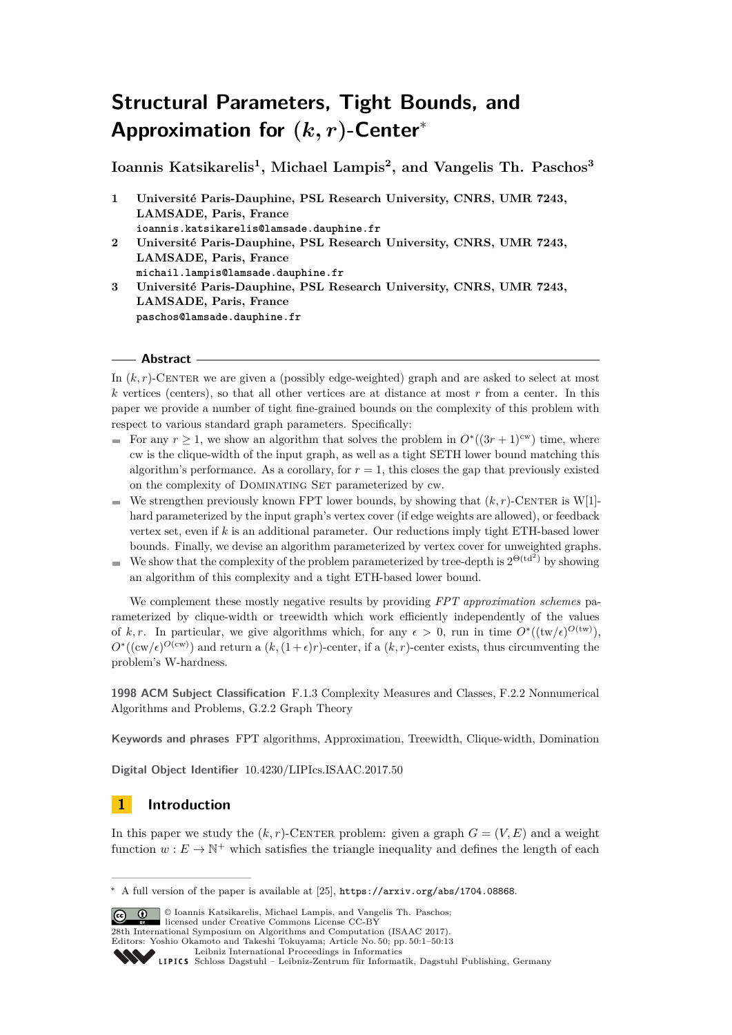# **Structural Parameters, Tight Bounds, and Approximation for (***k, r***)-Center**<sup>∗</sup>

**Ioannis Katsikarelis<sup>1</sup> , Michael Lampis<sup>2</sup> , and Vangelis Th. Paschos<sup>3</sup>**

- **1 Université Paris-Dauphine, PSL Research University, CNRS, UMR 7243, LAMSADE, Paris, France ioannis.katsikarelis@lamsade.dauphine.fr**
- **2 Université Paris-Dauphine, PSL Research University, CNRS, UMR 7243, LAMSADE, Paris, France michail.lampis@lamsade.dauphine.fr**
- **3 Université Paris-Dauphine, PSL Research University, CNRS, UMR 7243, LAMSADE, Paris, France paschos@lamsade.dauphine.fr**

## **Abstract**

In  $(k, r)$ -CENTER we are given a (possibly edge-weighted) graph and are asked to select at most *k* vertices (centers), so that all other vertices are at distance at most *r* from a center. In this paper we provide a number of tight fine-grained bounds on the complexity of this problem with respect to various standard graph parameters. Specifically:

- For any  $r \geq 1$ , we show an algorithm that solves the problem in  $O^*((3r + 1)^{cw})$  time, where cw is the clique-width of the input graph, as well as a tight SETH lower bound matching this algorithm's performance. As a corollary, for  $r = 1$ , this closes the gap that previously existed on the complexity of DOMINATING SET parameterized by cw.
- We strengthen previously known FPT lower bounds, by showing that  $(k, r)$ -CENTER is W[1]hard parameterized by the input graph's vertex cover (if edge weights are allowed), or feedback vertex set, even if *k* is an additional parameter. Our reductions imply tight ETH-based lower bounds. Finally, we devise an algorithm parameterized by vertex cover for unweighted graphs.
- We show that the complexity of the problem parameterized by tree-depth is  $2^{\Theta(td^2)}$  by showing an algorithm of this complexity and a tight ETH-based lower bound.

We complement these mostly negative results by providing *FPT approximation schemes* parameterized by clique-width or treewidth which work efficiently independently of the values of k, r. In particular, we give algorithms which, for any  $\epsilon > 0$ , run in time  $O^*((tw/\epsilon)^{O(tw)})$ ,  $O^*(c_{\text{ew}}/\epsilon)^{O(c_{\text{ew}})}$  and return a  $(k, (1+\epsilon)r)$ -center, if a  $(k, r)$ -center exists, thus circumventing the problem's W-hardness.

**1998 ACM Subject Classification** F.1.3 Complexity Measures and Classes, F.2.2 Nonnumerical Algorithms and Problems, G.2.2 Graph Theory

**Keywords and phrases** FPT algorithms, Approximation, Treewidth, Clique-width, Domination

**Digital Object Identifier** [10.4230/LIPIcs.ISAAC.2017.50](http://dx.doi.org/10.4230/LIPIcs.ISAAC.2017.50)

## **1 Introduction**

In this paper we study the  $(k, r)$ -CENTER problem: given a graph  $G = (V, E)$  and a weight function  $w : E \to \mathbb{N}^+$  which satisfies the triangle inequality and defines the length of each

© Ioannis Katsikarelis, Michael Lampis, and Vangelis Th. Paschos; licensed under Creative Commons License CC-BY 28th International Symposium on Algorithms and Computation (ISAAC 2017).

Editors: Yoshio Okamoto and Takeshi Tokuyama; Article No. 50; pp. 50:1–50[:13](#page-12-0)

<sup>∗</sup> A full version of the paper is available at [\[25\]](#page-11-0), <https://arxiv.org/abs/1704.08868>.

[Leibniz International Proceedings in Informatics](http://www.dagstuhl.de/lipics/)

Leibniz international riveredings in miximetrix<br>
LIPICS [Schloss Dagstuhl – Leibniz-Zentrum für Informatik, Dagstuhl Publishing, Germany](http://www.dagstuhl.de)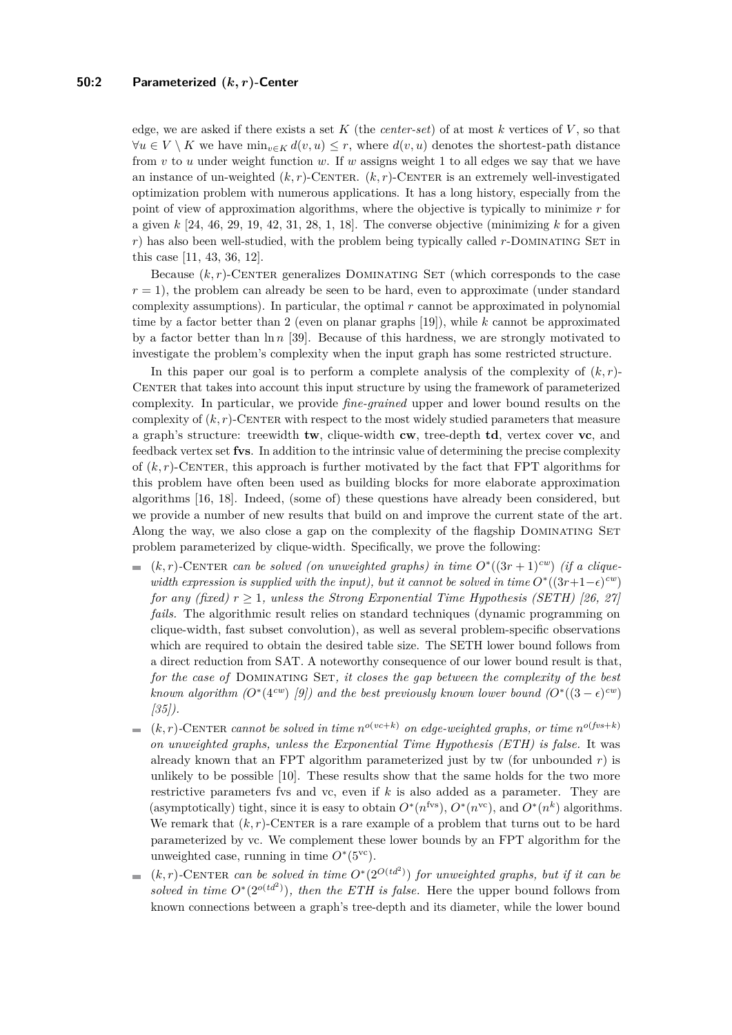edge, we are asked if there exists a set  $K$  (the *center-set*) of at most  $k$  vertices of  $V$ , so that  $∀u ∈ V \setminus K$  we have  $min_{v ∈ K} d(v, u) ≤ r$ , where  $d(v, u)$  denotes the shortest-path distance from *v* to *u* under weight function *w*. If *w* assigns weight 1 to all edges we say that we have an instance of un-weighted  $(k, r)$ -CENTER.  $(k, r)$ -CENTER is an extremely well-investigated optimization problem with numerous applications. It has a long history, especially from the point of view of approximation algorithms, where the objective is typically to minimize *r* for a given *k* [\[24,](#page-11-1) [46,](#page-12-1) [29,](#page-11-2) [19,](#page-11-3) [42,](#page-12-2) [31,](#page-11-4) [28,](#page-11-5) [1,](#page-10-0) [18\]](#page-11-6). The converse objective (minimizing *k* for a given *r*) has also been well-studied, with the problem being typically called *r*-DOMINATING SET in this case [\[11,](#page-11-7) [43,](#page-12-3) [36,](#page-12-4) [12\]](#page-11-8).

Because  $(k, r)$ -CENTER generalizes DOMINATING SET (which corresponds to the case  $r = 1$ ), the problem can already be seen to be hard, even to approximate (under standard complexity assumptions). In particular, the optimal *r* cannot be approximated in polynomial time by a factor better than 2 (even on planar graphs [\[19\]](#page-11-3)), while *k* cannot be approximated by a factor better than ln *n* [\[39\]](#page-12-5). Because of this hardness, we are strongly motivated to investigate the problem's complexity when the input graph has some restricted structure.

In this paper our goal is to perform a complete analysis of the complexity of  $(k, r)$ -CENTER that takes into account this input structure by using the framework of parameterized complexity. In particular, we provide *fine-grained* upper and lower bound results on the complexity of  $(k, r)$ -CENTER with respect to the most widely studied parameters that measure a graph's structure: treewidth **tw**, clique-width **cw**, tree-depth **td**, vertex cover **vc**, and feedback vertex set **fvs**. In addition to the intrinsic value of determining the precise complexity of  $(k, r)$ -CENTER, this approach is further motivated by the fact that FPT algorithms for this problem have often been used as building blocks for more elaborate approximation algorithms [\[16,](#page-11-9) [18\]](#page-11-6). Indeed, (some of) these questions have already been considered, but we provide a number of new results that build on and improve the current state of the art. Along the way, we also close a gap on the complexity of the flagship DOMINATING SET problem parameterized by clique-width. Specifically, we prove the following:

- $(k, r)$ -CENTER *can be solved (on unweighted graphs) in time*  $O^*((3r + 1)^{cw})$  *(if a cliquewidth expression is supplied with the input), but it cannot be solved in time*  $O^*(3r+1-\epsilon)$ <sup>*cw*</sup>) *for any (fixed)*  $r \geq 1$ *, unless the Strong Exponential Time Hypothesis (SETH)* [\[26,](#page-11-10) [27\]](#page-11-11) *fails.* The algorithmic result relies on standard techniques (dynamic programming on clique-width, fast subset convolution), as well as several problem-specific observations which are required to obtain the desired table size. The SETH lower bound follows from a direct reduction from SAT. A noteworthy consequence of our lower bound result is that, for the case of DOMINATING SET, it closes the gap between the complexity of the best *known algorithm*  $(O^*(4^{cw})$  *[\[9\]](#page-10-1)) and the best previously known lower bound*  $(O^*(3-\epsilon)^{cw})$ *[\[35\]](#page-12-6)).*
- $(k, r)$ -CENTER *cannot be solved in time*  $n^{o(vc+k)}$  *on edge-weighted graphs, or time*  $n^{o(fvs+k)}$  $\blacksquare$ *on unweighted graphs, unless the Exponential Time Hypothesis (ETH) is false.* It was already known that an FPT algorithm parameterized just by tw (for unbounded  $r$ ) is unlikely to be possible [\[10\]](#page-10-2). These results show that the same holds for the two more restrictive parameters fvs and vc, even if *k* is also added as a parameter. They are (asymptotically) tight, since it is easy to obtain  $O^*(n^{\text{fvs}})$ ,  $O^*(n^{\text{vc}})$ , and  $O^*(n^k)$  algorithms. We remark that  $(k, r)$ -CENTER is a rare example of a problem that turns out to be hard parameterized by vc. We complement these lower bounds by an FPT algorithm for the unweighted case, running in time  $O^*(5^{\text{vc}})$ .
- $(k, r)$ -CENTER *can be solved in time*  $O^*(2^{O(t d^2)})$  *for unweighted graphs, but if it can be*  $\overline{a}$ *solved in time*  $O^*(2^{o(td^2)})$ *, then the ETH is false.* Here the upper bound follows from known connections between a graph's tree-depth and its diameter, while the lower bound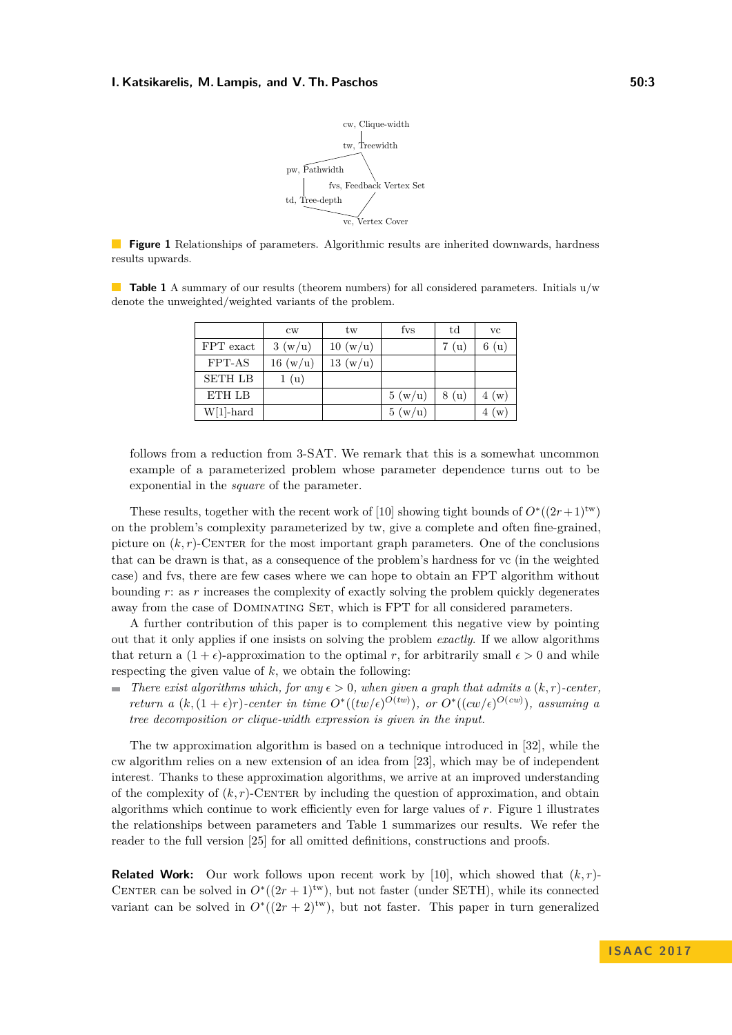

<span id="page-2-0"></span>**Figure 1** Relationships of parameters. Algorithmic results are inherited downwards, hardness results upwards.

<span id="page-2-1"></span>**Table 1** A summary of our results (theorem numbers) for all considered parameters. Initials  $u/w$ denote the unweighted/weighted variants of the problem.

|                | $_{\text{cw}}$ | tw      | fys    | $_{\rm td}$ | <b>VC</b> |
|----------------|----------------|---------|--------|-------------|-----------|
| FPT exact      | 3(w/u)         | 10(w/u) |        | (u)         | 6(u)      |
| FPT-AS         | 16(w/u)        | 13(w/u) |        |             |           |
| <b>SETH LB</b> | 1(u)           |         |        |             |           |
| ETH LB         |                |         | 5(w/u) | 8 (u)       | 4(w)      |
| $W[1]$ -hard   |                |         | 5(w/u) |             | (w)       |

follows from a reduction from 3-SAT. We remark that this is a somewhat uncommon example of a parameterized problem whose parameter dependence turns out to be exponential in the *square* of the parameter.

These results, together with the recent work of [\[10\]](#page-10-2) showing tight bounds of  $O^*((2r+1)^{tw})$ on the problem's complexity parameterized by tw, give a complete and often fine-grained, picture on  $(k, r)$ -CENTER for the most important graph parameters. One of the conclusions that can be drawn is that, as a consequence of the problem's hardness for vc (in the weighted case) and fvs, there are few cases where we can hope to obtain an FPT algorithm without bounding *r*: as *r* increases the complexity of exactly solving the problem quickly degenerates away from the case of DOMINATING SET, which is FPT for all considered parameters.

A further contribution of this paper is to complement this negative view by pointing out that it only applies if one insists on solving the problem *exactly*. If we allow algorithms that return a  $(1 + \epsilon)$ -approximation to the optimal *r*, for arbitrarily small  $\epsilon > 0$  and while respecting the given value of *k*, we obtain the following:

*There exist algorithms which, for any*  $\epsilon > 0$ , when given a graph that admits a  $(k, r)$ -center. *return a*  $(k, (1 + \epsilon)r)$ *-center in time*  $O<sup>*</sup>((tw/\epsilon)^{O(tw)})$ *, or*  $O<sup>*</sup>((cw/\epsilon)^{O(cw)})$ *, assuming a tree decomposition or clique-width expression is given in the input.*

The tw approximation algorithm is based on a technique introduced in [\[32\]](#page-11-12), while the cw algorithm relies on a new extension of an idea from [\[23\]](#page-11-13), which may be of independent interest. Thanks to these approximation algorithms, we arrive at an improved understanding of the complexity of  $(k, r)$ -CENTER by including the question of approximation, and obtain algorithms which continue to work efficiently even for large values of *r*. Figure [1](#page-2-0) illustrates the relationships between parameters and Table [1](#page-2-1) summarizes our results. We refer the reader to the full version [\[25\]](#page-11-0) for all omitted definitions, constructions and proofs.

**Related Work:** Our work follows upon recent work by [\[10\]](#page-10-2), which showed that  $(k, r)$ -CENTER can be solved in  $O^*(2r+1)$ <sup>tw</sup>), but not faster (under SETH), while its connected variant can be solved in  $O^*(2r+2)$ <sup>tw</sup>), but not faster. This paper in turn generalized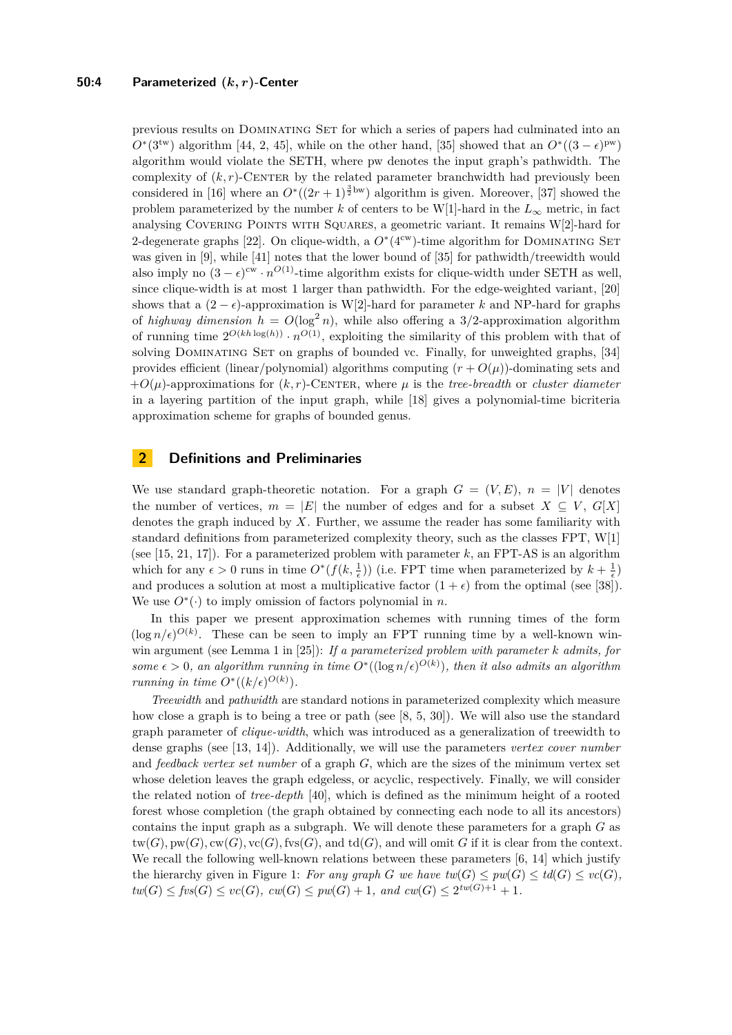### **50:4 Parameterized (***k, r***)-Center**

previous results on Dominating Set for which a series of papers had culminated into an  $O^*(3^{tw})$  algorithm [\[44,](#page-12-7) [2,](#page-10-4) [45\]](#page-12-8), while on the other hand, [\[35\]](#page-12-6) showed that an  $O^*((3-\epsilon)^{pw})$ algorithm would violate the SETH, where pw denotes the input graph's pathwidth. The complexity of  $(k, r)$ -CENTER by the related parameter branchwidth had previously been considered in [\[16\]](#page-11-9) where an  $O^*( (2r+1)^{\frac{3}{2} \text{bw}})$  algorithm is given. Moreover, [\[37\]](#page-12-9) showed the problem parameterized by the number *k* of centers to be W[1]-hard in the  $L_{\infty}$  metric, in fact analysing Covering Points with Squares, a geometric variant. It remains W[2]-hard for 2-degenerate graphs [\[22\]](#page-11-14). On clique-width, a  $O<sup>*</sup>(4<sup>cw</sup>)$ -time algorithm for DOMINATING SET was given in [\[9\]](#page-10-1), while [\[41\]](#page-12-10) notes that the lower bound of [\[35\]](#page-12-6) for pathwidth/treewidth would also imply no  $(3 - \epsilon)^{cw} \cdot n^{O(1)}$ -time algorithm exists for clique-width under SETH as well, since clique-width is at most 1 larger than pathwidth. For the edge-weighted variant, [\[20\]](#page-11-15) shows that a  $(2 - \epsilon)$ -approximation is W[2]-hard for parameter *k* and NP-hard for graphs of *highway dimension*  $h = O(\log^2 n)$ , while also offering a 3/2-approximation algorithm of running time  $2^{O(kh \log(h))} \cdot n^{O(1)}$ , exploiting the similarity of this problem with that of solving DOMINATING SET on graphs of bounded vc. Finally, for unweighted graphs, [\[34\]](#page-11-16) provides efficient (linear/polynomial) algorithms computing  $(r + O(\mu))$ -dominating sets and  $+O(\mu)$ -approximations for  $(k, r)$ -CENTER, where  $\mu$  is the *tree-breadth* or *cluster diameter* in a layering partition of the input graph, while [\[18\]](#page-11-6) gives a polynomial-time bicriteria approximation scheme for graphs of bounded genus.

## **2 Definitions and Preliminaries**

We use standard graph-theoretic notation. For a graph  $G = (V, E)$ ,  $n = |V|$  denotes the number of vertices,  $m = |E|$  the number of edges and for a subset  $X \subseteq V$ ,  $G[X]$ denotes the graph induced by *X*. Further, we assume the reader has some familiarity with standard definitions from parameterized complexity theory, such as the classes FPT, W[1] (see  $[15, 21, 17]$  $[15, 21, 17]$  $[15, 21, 17]$  $[15, 21, 17]$  $[15, 21, 17]$ ). For a parameterized problem with parameter  $k$ , an FPT-AS is an algorithm which for any  $\epsilon > 0$  runs in time  $O^*(f(k, \frac{1}{\epsilon}))$  (i.e. FPT time when parameterized by  $k + \frac{1}{\epsilon}$ ) and produces a solution at most a multiplicative factor  $(1 + \epsilon)$  from the optimal (see [\[38\]](#page-12-11)). We use  $O^*(\cdot)$  to imply omission of factors polynomial in *n*.

In this paper we present approximation schemes with running times of the form  $(\log n/\epsilon)^{O(k)}$ . These can be seen to imply an FPT running time by a well-known winwin argument (see Lemma 1 in [\[25\]](#page-11-0)): *If a parameterized problem with parameter k admits, for some*  $\epsilon > 0$ , an algorithm running in time  $O^*((\log n/\epsilon)^{O(k)})$ , then it also admits an algorithm *running in time*  $O^*((k/\epsilon)^{O(k)})$ .

*Treewidth* and *pathwidth* are standard notions in parameterized complexity which measure how close a graph is to being a tree or path (see [\[8,](#page-10-5) [5,](#page-10-6) [30\]](#page-11-20)). We will also use the standard graph parameter of *clique-width*, which was introduced as a generalization of treewidth to dense graphs (see [\[13,](#page-11-21) [14\]](#page-11-22)). Additionally, we will use the parameters *vertex cover number* and *feedback vertex set number* of a graph *G*, which are the sizes of the minimum vertex set whose deletion leaves the graph edgeless, or acyclic, respectively. Finally, we will consider the related notion of *tree-depth* [\[40\]](#page-12-12), which is defined as the minimum height of a rooted forest whose completion (the graph obtained by connecting each node to all its ancestors) contains the input graph as a subgraph. We will denote these parameters for a graph *G* as  $tw(G), pw(G), cw(G), \text{fc}(G), \text{fvs}(G),$  and  $td(G)$ , and will omit *G* if it is clear from the context. We recall the following well-known relations between these parameters [\[6,](#page-10-7) [14\]](#page-11-22) which justify the hierarchy given in Figure [1:](#page-2-0) For any graph *G* we have  $tw(G) \leq pw(G) \leq td(G) \leq vc(G)$ ,  $tw(G) \leq fvs(G) \leq vc(G), \, cw(G) \leq pw(G) + 1, \, and \, cw(G) \leq 2^{tw(G)+1} + 1.$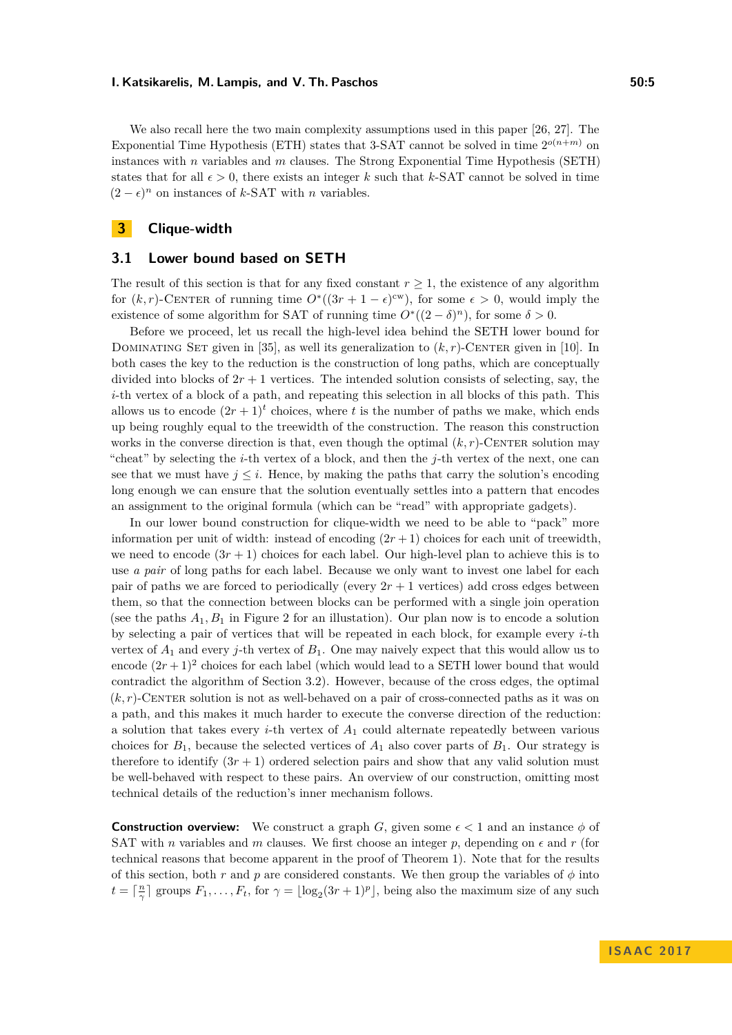We also recall here the two main complexity assumptions used in this paper [\[26,](#page-11-10) [27\]](#page-11-11). The Exponential Time Hypothesis (ETH) states that 3-SAT cannot be solved in time  $2^{o(n+m)}$  on instances with *n* variables and *m* clauses. The Strong Exponential Time Hypothesis (SETH) states that for all  $\epsilon > 0$ , there exists an integer k such that k-SAT cannot be solved in time  $(2 - \epsilon)^n$  on instances of *k*-SAT with *n* variables.

## **3 Clique-width**

## **3.1 Lower bound based on SETH**

The result of this section is that for any fixed constant  $r \geq 1$ , the existence of any algorithm for  $(k, r)$ -CENTER of running time  $O^*((3r + 1 - \epsilon)^{cw})$ , for some  $\epsilon > 0$ , would imply the existence of some algorithm for SAT of running time  $O^*((2-\delta)^n)$ , for some  $\delta > 0$ .

Before we proceed, let us recall the high-level idea behind the SETH lower bound for DOMINATING SET given in [\[35\]](#page-12-6), as well its generalization to  $(k, r)$ -CENTER given in [\[10\]](#page-10-2). In both cases the key to the reduction is the construction of long paths, which are conceptually divided into blocks of  $2r + 1$  vertices. The intended solution consists of selecting, say, the *i*-th vertex of a block of a path, and repeating this selection in all blocks of this path. This allows us to encode  $(2r+1)^t$  choices, where *t* is the number of paths we make, which ends up being roughly equal to the treewidth of the construction. The reason this construction works in the converse direction is that, even though the optimal  $(k, r)$ -CENTER solution may "cheat" by selecting the *i*-th vertex of a block, and then the *j*-th vertex of the next, one can see that we must have  $j \leq i$ . Hence, by making the paths that carry the solution's encoding long enough we can ensure that the solution eventually settles into a pattern that encodes an assignment to the original formula (which can be "read" with appropriate gadgets).

In our lower bound construction for clique-width we need to be able to "pack" more information per unit of width: instead of encoding  $(2r + 1)$  choices for each unit of treewidth, we need to encode  $(3r + 1)$  choices for each label. Our high-level plan to achieve this is to use *a pair* of long paths for each label. Because we only want to invest one label for each pair of paths we are forced to periodically (every  $2r + 1$  vertices) add cross edges between them, so that the connection between blocks can be performed with a single join operation (see the paths  $A_1, B_1$  in Figure [2](#page-6-0) for an illustation). Our plan now is to encode a solution by selecting a pair of vertices that will be repeated in each block, for example every *i*-th vertex of *A*<sup>1</sup> and every *j*-th vertex of *B*1. One may naively expect that this would allow us to encode  $(2r+1)^2$  choices for each label (which would lead to a SETH lower bound that would contradict the algorithm of Section [3.2\)](#page-6-1). However, because of the cross edges, the optimal  $(k, r)$ -CENTER solution is not as well-behaved on a pair of cross-connected paths as it was on a path, and this makes it much harder to execute the converse direction of the reduction: a solution that takes every *i*-th vertex of *A*<sup>1</sup> could alternate repeatedly between various choices for  $B_1$ , because the selected vertices of  $A_1$  also cover parts of  $B_1$ . Our strategy is therefore to identify  $(3r + 1)$  ordered selection pairs and show that any valid solution must be well-behaved with respect to these pairs. An overview of our construction, omitting most technical details of the reduction's inner mechanism follows.

**Construction overview:** We construct a graph *G*, given some  $\epsilon < 1$  and an instance  $\phi$  of SAT with *n* variables and *m* clauses. We first choose an integer *p*, depending on  $\epsilon$  and *r* (for technical reasons that become apparent in the proof of Theorem [1\)](#page-5-0). Note that for the results of this section, both *r* and *p* are considered constants. We then group the variables of  $\phi$  into  $t = \lceil \frac{n}{\gamma} \rceil$  groups  $F_1, \ldots, F_t$ , for  $\gamma = \lfloor \log_2(3r + 1)^p \rfloor$ , being also the maximum size of any such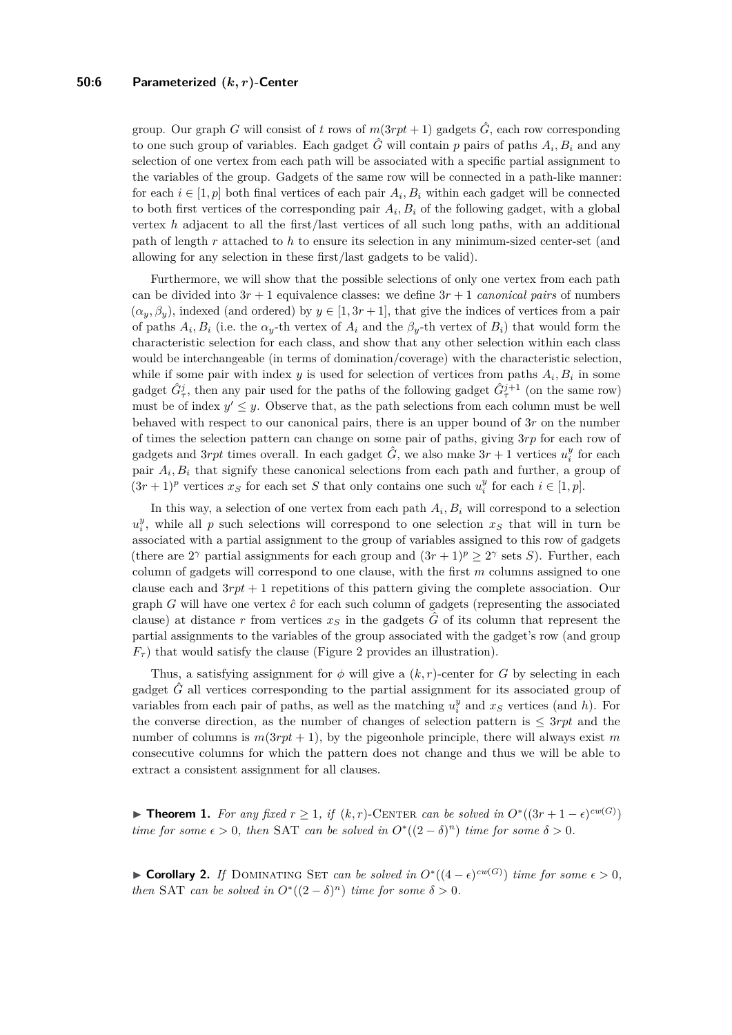#### **50:6 Parameterized (***k, r***)-Center**

group. Our graph *G* will consist of *t* rows of  $m(3rpt + 1)$  gadgets  $\hat{G}$ , each row corresponding to one such group of variables. Each gadget  $\hat{G}$  will contain  $p$  pairs of paths  $A_i, B_i$  and any selection of one vertex from each path will be associated with a specific partial assignment to the variables of the group. Gadgets of the same row will be connected in a path-like manner: for each  $i \in [1, p]$  both final vertices of each pair  $A_i, B_i$  within each gadget will be connected to both first vertices of the corresponding pair  $A_i, B_i$  of the following gadget, with a global vertex *h* adjacent to all the first/last vertices of all such long paths, with an additional path of length *r* attached to *h* to ensure its selection in any minimum-sized center-set (and allowing for any selection in these first/last gadgets to be valid).

Furthermore, we will show that the possible selections of only one vertex from each path can be divided into  $3r + 1$  equivalence classes: we define  $3r + 1$  *canonical pairs* of numbers  $(\alpha_y, \beta_y)$ , indexed (and ordered) by  $y \in [1, 3r + 1]$ , that give the indices of vertices from a pair of paths  $A_i, B_i$  (i.e. the  $\alpha_y$ -th vertex of  $A_i$  and the  $\beta_y$ -th vertex of  $B_i$ ) that would form the characteristic selection for each class, and show that any other selection within each class would be interchangeable (in terms of domination/coverage) with the characteristic selection, while if some pair with index  $y$  is used for selection of vertices from paths  $A_i, B_i$  in some gadget  $\hat{G}^j_\tau$ , then any pair used for the paths of the following gadget  $\hat{G}^{j+1}_\tau$  (on the same row) must be of index  $y' \leq y$ . Observe that, as the path selections from each column must be well behaved with respect to our canonical pairs, there is an upper bound of 3*r* on the number of times the selection pattern can change on some pair of paths, giving 3*rp* for each row of gadgets and 3*rpt* times overall. In each gadget  $\hat{G}$ , we also make  $3r + 1$  vertices  $u_i^y$  for each pair  $A_i, B_i$  that signify these canonical selections from each path and further, a group of  $(3r + 1)^p$  vertices  $x_S$  for each set *S* that only contains one such  $u_i^y$  for each  $i \in [1, p]$ .

In this way, a selection of one vertex from each path  $A_i, B_i$  will correspond to a selection  $u_i^y$ , while all *p* such selections will correspond to one selection  $x_s$  that will in turn be associated with a partial assignment to the group of variables assigned to this row of gadgets (there are  $2^{\gamma}$  partial assignments for each group and  $(3r+1)^p \geq 2^{\gamma}$  sets *S*). Further, each column of gadgets will correspond to one clause, with the first *m* columns assigned to one clause each and 3*rpt* + 1 repetitions of this pattern giving the complete association. Our graph *G* will have one vertex  $\hat{c}$  for each such column of gadgets (representing the associated clause) at distance r from vertices  $x<sub>S</sub>$  in the gadgets  $\hat{G}$  of its column that represent the partial assignments to the variables of the group associated with the gadget's row (and group  $F_{\tau}$ ) that would satisfy the clause (Figure [2](#page-6-0) provides an illustration).

Thus, a satisfying assignment for  $\phi$  will give a  $(k, r)$ -center for *G* by selecting in each gadget *G*ˆ all vertices corresponding to the partial assignment for its associated group of variables from each pair of paths, as well as the matching  $u_i^y$  and  $x_s$  vertices (and *h*). For the converse direction, as the number of changes of selection pattern is ≤ 3*rpt* and the number of columns is  $m(3rpt + 1)$ , by the pigeonhole principle, there will always exist m consecutive columns for which the pattern does not change and thus we will be able to extract a consistent assignment for all clauses.

<span id="page-5-0"></span>**► Theorem 1.** *For any fixed*  $r \geq 1$ , *if*  $(k, r)$ -CENTER *can be solved in*  $O^*((3r + 1 - \epsilon)^{cw(G)})$ *time for some*  $\epsilon > 0$ , then SAT *can be solved in*  $O<sup>*</sup>((2 - \delta)<sup>n</sup>)$  *time for some*  $\delta > 0$ *.* 

► **Corollary 2.** *If* DOMINATING SET *can be solved in*  $O^*((4 - \epsilon)^{cw(G)})$  *time for some*  $\epsilon > 0$ *, then* SAT *can be solved in*  $O^*((2 - \delta)^n)$  *time for some*  $\delta > 0$ *.*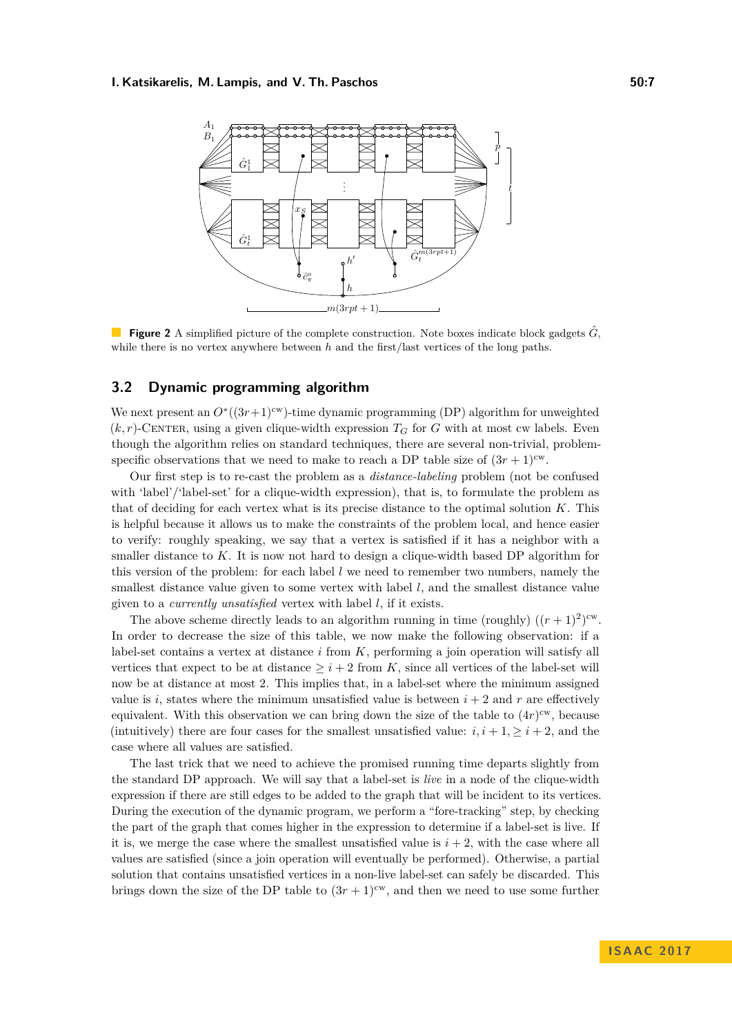<span id="page-6-0"></span>

**Figure 2** A simplified picture of the complete construction. Note boxes indicate block gadgets  $\hat{G}$ , while there is no vertex anywhere between *h* and the first/last vertices of the long paths.

## <span id="page-6-1"></span>**3.2 Dynamic programming algorithm**

We next present an  $O^*(3r+1)^{cw}$ )-time dynamic programming (DP) algorithm for unweighted  $(k, r)$ -CENTER, using a given clique-width expression  $T_G$  for *G* with at most cw labels. Even though the algorithm relies on standard techniques, there are several non-trivial, problemspecific observations that we need to make to reach a DP table size of  $(3r + 1)^{cw}$ .

Our first step is to re-cast the problem as a *distance-labeling* problem (not be confused with 'label'/'label-set' for a clique-width expression), that is, to formulate the problem as that of deciding for each vertex what is its precise distance to the optimal solution *K*. This is helpful because it allows us to make the constraints of the problem local, and hence easier to verify: roughly speaking, we say that a vertex is satisfied if it has a neighbor with a smaller distance to *K*. It is now not hard to design a clique-width based DP algorithm for this version of the problem: for each label *l* we need to remember two numbers, namely the smallest distance value given to some vertex with label *l*, and the smallest distance value given to a *currently unsatisfied* vertex with label *l*, if it exists.

The above scheme directly leads to an algorithm running in time (roughly)  $((r+1)^2)^{cw}$ . In order to decrease the size of this table, we now make the following observation: if a label-set contains a vertex at distance *i* from *K*, performing a join operation will satisfy all vertices that expect to be at distance  $\geq i+2$  from K, since all vertices of the label-set will now be at distance at most 2. This implies that, in a label-set where the minimum assigned value is *i*, states where the minimum unsatisfied value is between  $i + 2$  and  $r$  are effectively equivalent. With this observation we can bring down the size of the table to  $(4r)^{cw}$ , because (intuitively) there are four cases for the smallest unsatisfied value:  $i, i + 1, \geq i + 2$ , and the case where all values are satisfied.

The last trick that we need to achieve the promised running time departs slightly from the standard DP approach. We will say that a label-set is *live* in a node of the clique-width expression if there are still edges to be added to the graph that will be incident to its vertices. During the execution of the dynamic program, we perform a "fore-tracking" step, by checking the part of the graph that comes higher in the expression to determine if a label-set is live. If it is, we merge the case where the smallest unsatisfied value is  $i + 2$ , with the case where all values are satisfied (since a join operation will eventually be performed). Otherwise, a partial solution that contains unsatisfied vertices in a non-live label-set can safely be discarded. This brings down the size of the DP table to  $(3r + 1)^{cw}$ , and then we need to use some further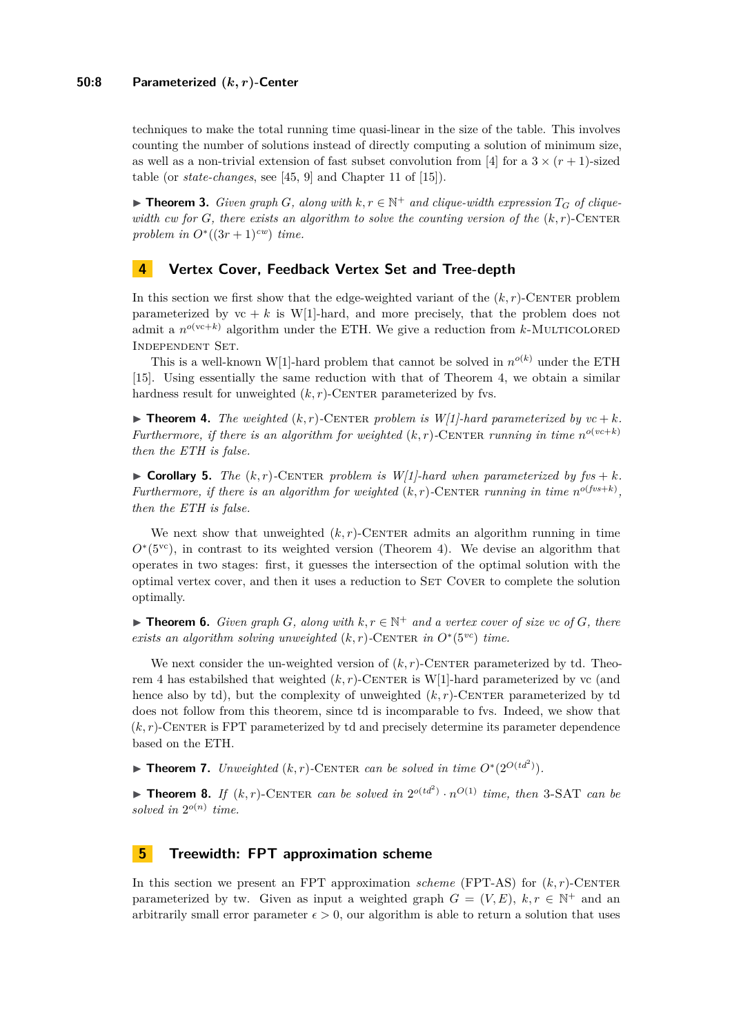techniques to make the total running time quasi-linear in the size of the table. This involves counting the number of solutions instead of directly computing a solution of minimum size, as well as a non-trivial extension of fast subset convolution from [\[4\]](#page-10-8) for a  $3 \times (r + 1)$ -sized table (or *state-changes*, see [\[45,](#page-12-8) [9\]](#page-10-1) and Chapter 11 of [\[15\]](#page-11-17)).

<span id="page-7-0"></span>▶ **Theorem 3.** *Given graph G, along with*  $k, r \in \mathbb{N}^+$  *and clique-width expression*  $T_G$  *of cliquewidth cw* for *G*, there exists an algorithm to solve the counting version of the  $(k, r)$ -CENTER *problem in*  $O^*((3r+1)^{cw})$  *time.* 

## **4 Vertex Cover, Feedback Vertex Set and Tree-depth**

In this section we first show that the edge-weighted variant of the  $(k, r)$ -CENTER problem parameterized by  $vc + k$  is W[1]-hard, and more precisely, that the problem does not admit a  $n^{o(\text{vc}+k)}$  algorithm under the ETH. We give a reduction from *k*-MULTICOLORED Independent Set.

This is a well-known W[1]-hard problem that cannot be solved in  $n^{o(k)}$  under the ETH [\[15\]](#page-11-17). Using essentially the same reduction with that of Theorem [4,](#page-7-5) we obtain a similar hardness result for unweighted  $(k, r)$ -CENTER parameterized by fvs.

<span id="page-7-5"></span> $\blacktriangleright$  **Theorem 4.** *The weighted*  $(k, r)$ -CENTER *problem is W[1]-hard parameterized by*  $vc + k$ *. Furthermore, if there is an algorithm for weighted*  $(k, r)$ -CENTER *running in time*  $n^{o(vc+k)}$ *then the ETH is false.*

<span id="page-7-3"></span> $\triangleright$  **Corollary 5.** *The*  $(k, r)$ -CENTER problem is  $W[1]$ -hard when parameterized by  $fvs + k$ . *Furthermore, if there is an algorithm for weighted*  $(k, r)$ -CENTER *running in time*  $n^{o(fvs+k)}$ , *then the ETH is false.*

We next show that unweighted  $(k, r)$ -CENTER admits an algorithm running in time  $O<sup>*</sup>(5<sup>vc</sup>)$ , in contrast to its weighted version (Theorem [4\)](#page-7-5). We devise an algorithm that operates in two stages: first, it guesses the intersection of the optimal solution with the optimal vertex cover, and then it uses a reduction to SET COVER to complete the solution optimally.

<span id="page-7-2"></span>▶ **Theorem 6.** *Given graph G, along with*  $k, r \in \mathbb{N}^+$  *and a vertex cover of size vc of G, there exists an algorithm solving unweighted*  $(k, r)$ -CENTER *in*  $O<sup>*</sup>(5<sup>vc</sup>)$  *time.* 

We next consider the un-weighted version of  $(k, r)$ -CENTER parameterized by td. Theo-rem [4](#page-7-5) has estabilshed that weighted  $(k, r)$ -CENTER is W[1]-hard parameterized by vc (and hence also by td), but the complexity of unweighted  $(k, r)$ -CENTER parameterized by td does not follow from this theorem, since td is incomparable to fvs. Indeed, we show that  $(k, r)$ -CENTER is FPT parameterized by td and precisely determine its parameter dependence based on the ETH.

<span id="page-7-1"></span>▶ **Theorem 7.** *Unweighted*  $(k, r)$ -CENTER *can be solved in time*  $O^*(2^{O(td^2)})$ *.* 

<span id="page-7-4"></span>**Theorem 8.** *If*  $(k, r)$ -CENTER *can be solved in*  $2^{o(td^2)} \cdot n^{O(1)}$  *time, then* 3-SAT *can be* solved in  $2^{o(n)}$  time.

## <span id="page-7-6"></span>**5 Treewidth: FPT approximation scheme**

In this section we present an FPT approximation *scheme* (FPT-AS) for  $(k, r)$ -CENTER parameterized by tw. Given as input a weighted graph  $G = (V, E)$ ,  $k, r \in \mathbb{N}^+$  and an arbitrarily small error parameter  $\epsilon > 0$ , our algorithm is able to return a solution that uses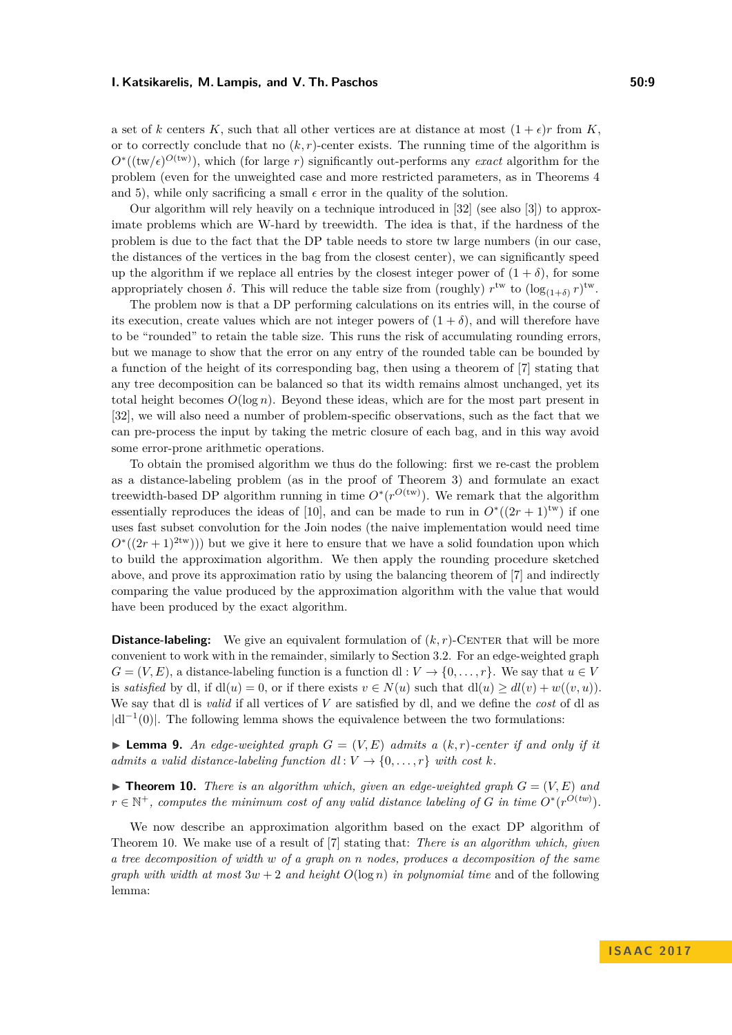a set of *k* centers *K*, such that all other vertices are at distance at most  $(1 + \epsilon)r$  from *K*. or to correctly conclude that no  $(k, r)$ -center exists. The running time of the algorithm is  $O^*($ ( $\text{tw}/\epsilon$ )<sup> $O$ ( $\text{tw}$ )), which (for large *r*) significantly out-performs any *exact* algorithm for the</sup> problem (even for the unweighted case and more restricted parameters, as in Theorems [4](#page-7-5) and [5\)](#page-7-3), while only sacrificing a small  $\epsilon$  error in the quality of the solution.

Our algorithm will rely heavily on a technique introduced in [\[32\]](#page-11-12) (see also [\[3\]](#page-10-9)) to approximate problems which are W-hard by treewidth. The idea is that, if the hardness of the problem is due to the fact that the DP table needs to store tw large numbers (in our case, the distances of the vertices in the bag from the closest center), we can significantly speed up the algorithm if we replace all entries by the closest integer power of  $(1 + \delta)$ , for some appropriately chosen  $\delta$ . This will reduce the table size from (roughly)  $r^{tw}$  to  $(\log_{(1+\delta)} r)^{tw}$ .

The problem now is that a DP performing calculations on its entries will, in the course of its execution, create values which are not integer powers of  $(1 + \delta)$ , and will therefore have to be "rounded" to retain the table size. This runs the risk of accumulating rounding errors, but we manage to show that the error on any entry of the rounded table can be bounded by a function of the height of its corresponding bag, then using a theorem of [\[7\]](#page-10-10) stating that any tree decomposition can be balanced so that its width remains almost unchanged, yet its total height becomes  $O(\log n)$ . Beyond these ideas, which are for the most part present in [\[32\]](#page-11-12), we will also need a number of problem-specific observations, such as the fact that we can pre-process the input by taking the metric closure of each bag, and in this way avoid some error-prone arithmetic operations.

To obtain the promised algorithm we thus do the following: first we re-cast the problem as a distance-labeling problem (as in the proof of Theorem [3\)](#page-7-0) and formulate an exact treewidth-based DP algorithm running in time  $O^*(r^{O(tw)})$ . We remark that the algorithm essentially reproduces the ideas of [\[10\]](#page-10-2), and can be made to run in  $O^*((2r+1)^{tw})$  if one uses fast subset convolution for the Join nodes (the naive implementation would need time  $O<sup>*</sup>((2r + 1)<sup>2tw</sup>))$  but we give it here to ensure that we have a solid foundation upon which to build the approximation algorithm. We then apply the rounding procedure sketched above, and prove its approximation ratio by using the balancing theorem of [\[7\]](#page-10-10) and indirectly comparing the value produced by the approximation algorithm with the value that would have been produced by the exact algorithm.

**Distance-labeling:** We give an equivalent formulation of  $(k, r)$ -CENTER that will be more convenient to work with in the remainder, similarly to Section [3.2.](#page-6-1) For an edge-weighted graph  $G = (V, E)$ , a distance-labeling function is a function dl :  $V \rightarrow \{0, \ldots, r\}$ . We say that  $u \in V$ is *satisfied* by dl, if  $dl(u) = 0$ , or if there exists  $v \in N(u)$  such that  $dl(u) \geq dl(v) + w(v, u)$ . We say that dl is *valid* if all vertices of *V* are satisfied by dl, and we define the *cost* of dl as  $|dl^{-1}(0)|$ . The following lemma shows the equivalence between the two formulations:

**I Lemma 9.** An edge-weighted graph  $G = (V, E)$  admits a  $(k, r)$ -center if and only if it *admits a valid distance-labeling function*  $dl: V \rightarrow \{0, \ldots, r\}$  *with cost k.* 

<span id="page-8-0"></span>**Findment 10.** *There is an algorithm which, given an edge-weighted graph*  $G = (V, E)$  *and*  $r \in \mathbb{N}^+$ , computes the minimum cost of any valid distance labeling of *G* in time  $O^*(r^{O(tw)})$ .

We now describe an approximation algorithm based on the exact DP algorithm of Theorem [10.](#page-8-0) We make use of a result of [\[7\]](#page-10-10) stating that: *There is an algorithm which, given a tree decomposition of width w of a graph on n nodes, produces a decomposition of the same graph with width at most*  $3w + 2$  *and height*  $O(\log n)$  *in polynomial time* and of the following lemma: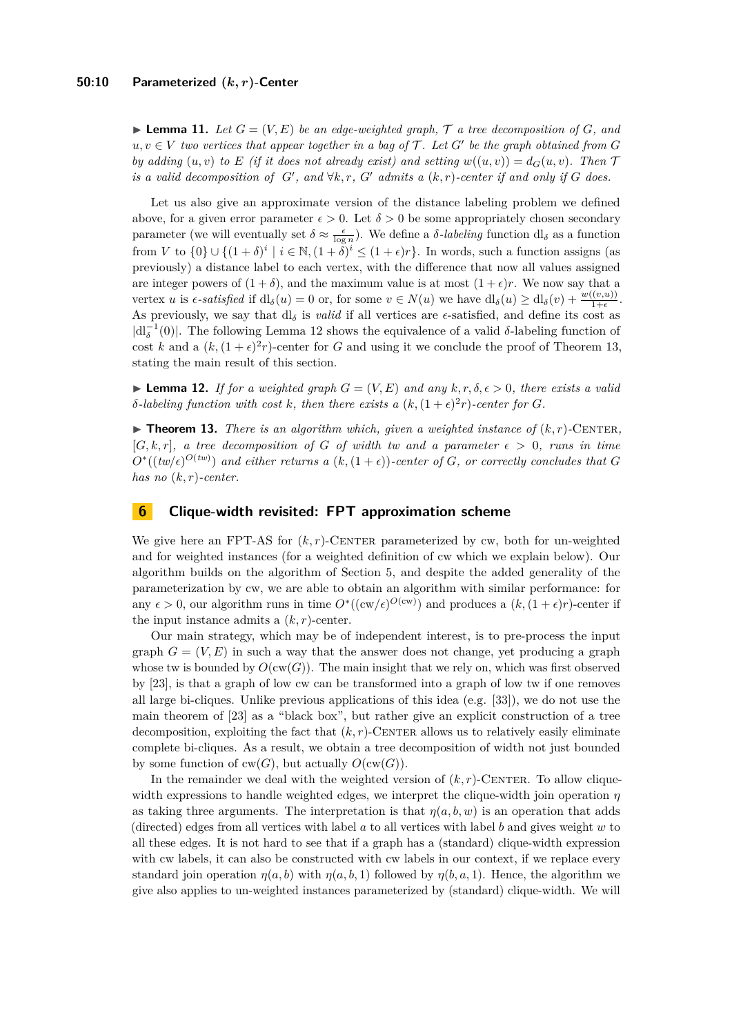$\blacktriangleright$  **Lemma 11.** Let  $G = (V, E)$  be an edge-weighted graph,  $\tau$  a tree decomposition of  $G$ , and  $u, v \in V$  *two vertices that appear together in a bag of*  $\mathcal{T}$ *. Let*  $G'$  *be the graph obtained from*  $G$ *by adding*  $(u, v)$  *to E* (*if it does not already exist) and setting*  $w((u, v)) = d_G(u, v)$ *. Then*  $\mathcal{T}$ *is a valid decomposition of*  $G'$ , and  $\forall k, r, G'$  *admits a*  $(k, r)$ -center if and only if G does.

Let us also give an approximate version of the distance labeling problem we defined above, for a given error parameter  $\epsilon > 0$ . Let  $\delta > 0$  be some appropriately chosen secondary parameter (we will eventually set  $\delta \approx \frac{\epsilon}{\log n}$ ). We define a *δ-labeling* function dl<sub>δ</sub> as a function from *V* to  $\{0\} \cup \{(1+\delta)^i \mid i \in \mathbb{N}, (1+\delta)^i \leq (1+\epsilon)r\}$ . In words, such a function assigns (as previously) a distance label to each vertex, with the difference that now all values assigned are integer powers of  $(1 + \delta)$ , and the maximum value is at most  $(1 + \epsilon)r$ . We now say that a vertex *u* is  $\epsilon$ -satisfied if  $dl_{\delta}(u) = 0$  or, for some  $v \in N(u)$  we have  $dl_{\delta}(u) \geq dl_{\delta}(v) + \frac{w((v,u))}{1+\epsilon}$ . As previously, we say that  $dl_\delta$  is *valid* if all vertices are  $\epsilon$ -satisfied, and define its cost as  $|dl<sub>δ</sub><sup>-1</sup>(0)|$ . The following Lemma [12](#page-9-1) shows the equivalence of a valid *δ*-labeling function of cost *k* and a  $(k, (1 + \epsilon)^2 r)$ -center for *G* and using it we conclude the proof of Theorem [13,](#page-9-0) stating the main result of this section.

<span id="page-9-1"></span>**Lemma 12.** *If for a weighted graph*  $G = (V, E)$  *and any*  $k, r, \delta, \epsilon > 0$ , *there exists a valid δ*-labeling function with cost *k*, then there exists a  $(k, (1 + \epsilon)^2 r)$ -center for *G*.

<span id="page-9-0"></span> $\blacktriangleright$  **Theorem 13.** *There is an algorithm which, given a weighted instance of*  $(k, r)$ -CENTER,  $[G, k, r]$ , a tree decomposition of G of width tw and a parameter  $\epsilon > 0$ , runs in time  $O^*( (tw/\epsilon)^{O(tw)})$  and either returns a  $(k, (1 + \epsilon))$ -center of *G*, or correctly concludes that *G has no* (*k, r*)*-center.*

## **6 Clique-width revisited: FPT approximation scheme**

We give here an FPT-AS for  $(k, r)$ -CENTER parameterized by cw, both for un-weighted and for weighted instances (for a weighted definition of cw which we explain below). Our algorithm builds on the algorithm of Section [5,](#page-7-6) and despite the added generality of the parameterization by cw, we are able to obtain an algorithm with similar performance: for any  $\epsilon > 0$ , our algorithm runs in time  $O^*((cw/\epsilon)^{O(cw)})$  and produces a  $(k,(1+\epsilon)r)$ -center if the input instance admits a  $(k, r)$ -center.

Our main strategy, which may be of independent interest, is to pre-process the input graph  $G = (V, E)$  in such a way that the answer does not change, yet producing a graph whose tw is bounded by  $O(cw(G))$ . The main insight that we rely on, which was first observed by [\[23\]](#page-11-13), is that a graph of low cw can be transformed into a graph of low tw if one removes all large bi-cliques. Unlike previous applications of this idea (e.g. [\[33\]](#page-11-23)), we do not use the main theorem of [\[23\]](#page-11-13) as a "black box", but rather give an explicit construction of a tree decomposition, exploiting the fact that  $(k, r)$ -CENTER allows us to relatively easily eliminate complete bi-cliques. As a result, we obtain a tree decomposition of width not just bounded by some function of  $cw(G)$ , but actually  $O(cw(G))$ .

In the remainder we deal with the weighted version of  $(k, r)$ -CENTER. To allow cliquewidth expressions to handle weighted edges, we interpret the clique-width join operation *η* as taking three arguments. The interpretation is that  $\eta(a, b, w)$  is an operation that adds (directed) edges from all vertices with label *a* to all vertices with label *b* and gives weight *w* to all these edges. It is not hard to see that if a graph has a (standard) clique-width expression with cw labels, it can also be constructed with cw labels in our context, if we replace every standard join operation  $\eta(a, b)$  with  $\eta(a, b, 1)$  followed by  $\eta(b, a, 1)$ . Hence, the algorithm we give also applies to un-weighted instances parameterized by (standard) clique-width. We will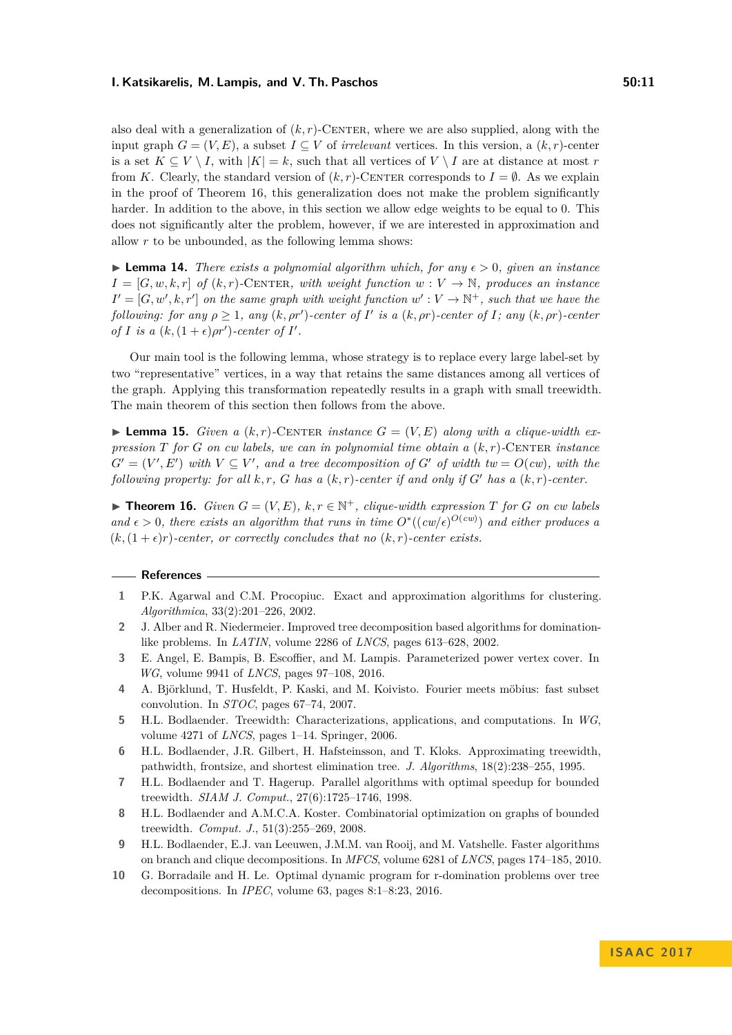also deal with a generalization of  $(k, r)$ -CENTER, where we are also supplied, along with the input graph  $G = (V, E)$ , a subset  $I \subseteq V$  of *irrelevant* vertices. In this version, a  $(k, r)$ -center is a set  $K \subseteq V \setminus I$ , with  $|K| = k$ , such that all vertices of  $V \setminus I$  are at distance at most *r* from *K*. Clearly, the standard version of  $(k, r)$ -CENTER corresponds to  $I = \emptyset$ . As we explain in the proof of Theorem [16,](#page-10-3) this generalization does not make the problem significantly harder. In addition to the above, in this section we allow edge weights to be equal to 0. This does not significantly alter the problem, however, if we are interested in approximation and allow *r* to be unbounded, as the following lemma shows:

**Lemma 14.** *There exists a polynomial algorithm which, for any*  $\epsilon > 0$ *, given an instance*  $I = [G, w, k, r]$  *of*  $(k, r)$ -CENTER*, with weight function*  $w: V \to \mathbb{N}$ *, produces an instance*  $I' = [G, w', k, r']$  on the same graph with weight function  $w' : V \to \mathbb{N}^+$ , such that we have the *following: for any*  $\rho \geq 1$ , any  $(k, \rho r')$ -center of  $I'$  is a  $(k, \rho r)$ -center of  $I$ ; any  $(k, \rho r)$ -center *of I is a*  $(k, (1+\epsilon) \rho r')$ -center of *I'*.

Our main tool is the following lemma, whose strategy is to replace every large label-set by two "representative" vertices, in a way that retains the same distances among all vertices of the graph. Applying this transformation repeatedly results in a graph with small treewidth. The main theorem of this section then follows from the above.

**I Lemma 15.** *Given a*  $(k, r)$ -CENTER *instance*  $G = (V, E)$  *along with a clique-width expression*  $T$  *for*  $G$  *on cw labels, we can in polynomial time obtain a*  $(k, r)$ *-CENTER instance*  $G' = (V', E')$  *with*  $V \subseteq V'$ , and a tree decomposition of  $G'$  of width  $tw = O(cw)$ , with the *following property: for all*  $k, r$ ,  $G$  *has a*  $(k, r)$ *-center if and only if*  $G'$  *has a*  $(k, r)$ *-center.* 

<span id="page-10-3"></span>▶ **Theorem 16.** *Given*  $G = (V, E)$ ,  $k, r \in \mathbb{N}^+$ , *clique-width expression*  $T$  *for*  $G$  *on cw labels and*  $\epsilon > 0$ , there exists an algorithm that runs in time  $O^*((cw)\epsilon)^{O(cw)}$  and either produces a  $(k, (1 + \epsilon)r)$ -center, or correctly concludes that no  $(k, r)$ -center exists.

#### **References**

- <span id="page-10-0"></span>**1** P.K. Agarwal and C.M. Procopiuc. Exact and approximation algorithms for clustering. *Algorithmica*, 33(2):201–226, 2002.
- <span id="page-10-4"></span>**2** J. Alber and R. Niedermeier. Improved tree decomposition based algorithms for dominationlike problems. In *LATIN*, volume 2286 of *LNCS*, pages 613–628, 2002.
- <span id="page-10-9"></span>**3** E. Angel, E. Bampis, B. Escoffier, and M. Lampis. Parameterized power vertex cover. In *WG*, volume 9941 of *LNCS*, pages 97–108, 2016.
- <span id="page-10-8"></span>**4** A. Björklund, T. Husfeldt, P. Kaski, and M. Koivisto. Fourier meets möbius: fast subset convolution. In *STOC*, pages 67–74, 2007.
- <span id="page-10-6"></span>**5** H.L. Bodlaender. Treewidth: Characterizations, applications, and computations. In *WG*, volume 4271 of *LNCS*, pages 1–14. Springer, 2006.
- <span id="page-10-7"></span>**6** H.L. Bodlaender, J.R. Gilbert, H. Hafsteinsson, and T. Kloks. Approximating treewidth, pathwidth, frontsize, and shortest elimination tree. *J. Algorithms*, 18(2):238–255, 1995.
- <span id="page-10-10"></span>**7** H.L. Bodlaender and T. Hagerup. Parallel algorithms with optimal speedup for bounded treewidth. *SIAM J. Comput.*, 27(6):1725–1746, 1998.
- <span id="page-10-5"></span>**8** H.L. Bodlaender and A.M.C.A. Koster. Combinatorial optimization on graphs of bounded treewidth. *Comput. J.*, 51(3):255–269, 2008.
- <span id="page-10-1"></span>**9** H.L. Bodlaender, E.J. van Leeuwen, J.M.M. van Rooij, and M. Vatshelle. Faster algorithms on branch and clique decompositions. In *MFCS*, volume 6281 of *LNCS*, pages 174–185, 2010.
- <span id="page-10-2"></span>**10** G. Borradaile and H. Le. Optimal dynamic program for r-domination problems over tree decompositions. In *IPEC*, volume 63, pages 8:1–8:23, 2016.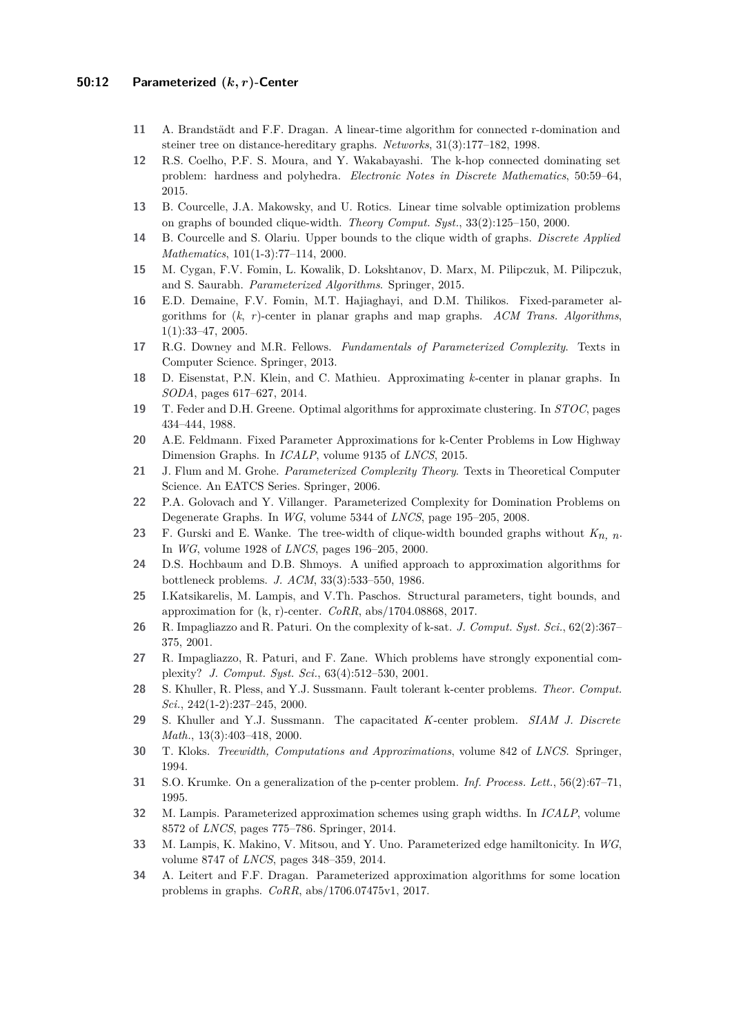- <span id="page-11-7"></span>**11** A. Brandstädt and F.F. Dragan. A linear-time algorithm for connected r-domination and steiner tree on distance-hereditary graphs. *Networks*, 31(3):177–182, 1998.
- <span id="page-11-8"></span>**12** R.S. Coelho, P.F. S. Moura, and Y. Wakabayashi. The k-hop connected dominating set problem: hardness and polyhedra. *Electronic Notes in Discrete Mathematics*, 50:59–64, 2015.
- <span id="page-11-21"></span>**13** B. Courcelle, J.A. Makowsky, and U. Rotics. Linear time solvable optimization problems on graphs of bounded clique-width. *Theory Comput. Syst.*, 33(2):125–150, 2000.
- <span id="page-11-22"></span>**14** B. Courcelle and S. Olariu. Upper bounds to the clique width of graphs. *Discrete Applied Mathematics*, 101(1-3):77–114, 2000.
- <span id="page-11-17"></span>**15** M. Cygan, F.V. Fomin, L. Kowalik, D. Lokshtanov, D. Marx, M. Pilipczuk, M. Pilipczuk, and S. Saurabh. *Parameterized Algorithms*. Springer, 2015.
- <span id="page-11-9"></span>**16** E.D. Demaine, F.V. Fomin, M.T. Hajiaghayi, and D.M. Thilikos. Fixed-parameter algorithms for (*k*, *r*)-center in planar graphs and map graphs. *ACM Trans. Algorithms*, 1(1):33–47, 2005.
- <span id="page-11-19"></span>**17** R.G. Downey and M.R. Fellows. *Fundamentals of Parameterized Complexity*. Texts in Computer Science. Springer, 2013.
- <span id="page-11-6"></span>**18** D. Eisenstat, P.N. Klein, and C. Mathieu. Approximating *k*-center in planar graphs. In *SODA*, pages 617–627, 2014.
- <span id="page-11-3"></span>**19** T. Feder and D.H. Greene. Optimal algorithms for approximate clustering. In *STOC*, pages 434–444, 1988.
- <span id="page-11-15"></span>**20** A.E. Feldmann. Fixed Parameter Approximations for k-Center Problems in Low Highway Dimension Graphs. In *ICALP*, volume 9135 of *LNCS*, 2015.
- <span id="page-11-18"></span>**21** J. Flum and M. Grohe. *Parameterized Complexity Theory*. Texts in Theoretical Computer Science. An EATCS Series. Springer, 2006.
- <span id="page-11-14"></span>**22** P.A. Golovach and Y. Villanger. Parameterized Complexity for Domination Problems on Degenerate Graphs. In *WG*, volume 5344 of *LNCS*, page 195–205, 2008.
- <span id="page-11-13"></span>**23** F. Gurski and E. Wanke. The tree-width of clique-width bounded graphs without *Kn, n*. In *WG*, volume 1928 of *LNCS*, pages 196–205, 2000.
- <span id="page-11-1"></span>**24** D.S. Hochbaum and D.B. Shmoys. A unified approach to approximation algorithms for bottleneck problems. *J. ACM*, 33(3):533–550, 1986.
- <span id="page-11-0"></span>**25** I.Katsikarelis, M. Lampis, and V.Th. Paschos. Structural parameters, tight bounds, and approximation for (k, r)-center. *CoRR*, abs/1704.08868, 2017.
- <span id="page-11-10"></span>**26** R. Impagliazzo and R. Paturi. On the complexity of k-sat. *J. Comput. Syst. Sci.*, 62(2):367– 375, 2001.
- <span id="page-11-11"></span>**27** R. Impagliazzo, R. Paturi, and F. Zane. Which problems have strongly exponential complexity? *J. Comput. Syst. Sci.*, 63(4):512–530, 2001.
- <span id="page-11-5"></span>**28** S. Khuller, R. Pless, and Y.J. Sussmann. Fault tolerant k-center problems. *Theor. Comput. Sci.*, 242(1-2):237–245, 2000.
- <span id="page-11-2"></span>**29** S. Khuller and Y.J. Sussmann. The capacitated *K*-center problem. *SIAM J. Discrete Math.*, 13(3):403–418, 2000.
- <span id="page-11-20"></span>**30** T. Kloks. *Treewidth, Computations and Approximations*, volume 842 of *LNCS*. Springer, 1994.
- <span id="page-11-4"></span>**31** S.O. Krumke. On a generalization of the p-center problem. *Inf. Process. Lett.*, 56(2):67–71, 1995.
- <span id="page-11-12"></span>**32** M. Lampis. Parameterized approximation schemes using graph widths. In *ICALP*, volume 8572 of *LNCS*, pages 775–786. Springer, 2014.
- <span id="page-11-23"></span>**33** M. Lampis, K. Makino, V. Mitsou, and Y. Uno. Parameterized edge hamiltonicity. In *WG*, volume 8747 of *LNCS*, pages 348–359, 2014.
- <span id="page-11-16"></span>**34** A. Leitert and F.F. Dragan. Parameterized approximation algorithms for some location problems in graphs. *CoRR*, abs/1706.07475v1, 2017.